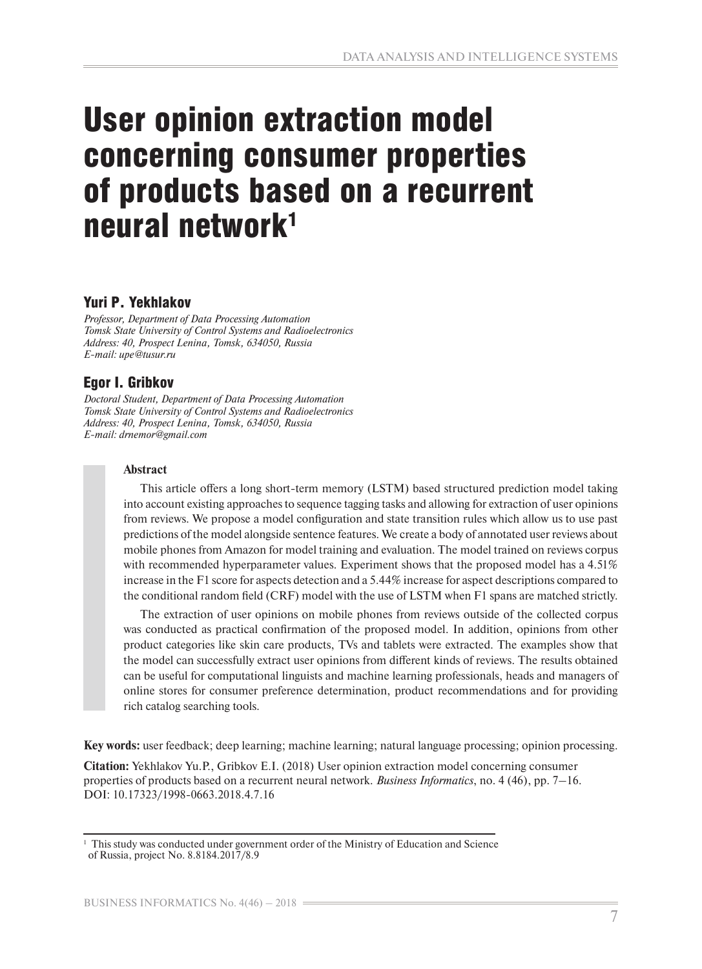# User opinion extraction model concerning consumer properties of products based on a recurrent neural network1

# Yuri P. Yekhlakov

*Professor, Department of Data Processing Automation Tomsk State University of Control Systems and Radioelectronics Address: 40, Prospect Lenina, Tomsk, 634050, Russia E-mail: upe@tusur.ru* 

# Egor I. Gribkov

*Doctoral Student, Department of Data Processing Automation Tomsk State University of Control Systems and Radioelectronics Address: 40, Prospect Lenina, Tomsk, 634050, Russia E-mail: drnemor@gmail.com* 

#### **Abstract**

This article offers a long short-term memory (LSTM) based structured prediction model taking into account existing approaches to sequence tagging tasks and allowing for extraction of user opinions from reviews. We propose a model configuration and state transition rules which allow us to use past predictions of the model alongside sentence features. We create a body of annotated user reviews about mobile phones from Amazon for model training and evaluation. The model trained on reviews corpus with recommended hyperparameter values. Experiment shows that the proposed model has a 4.51% increase in the F1 score for aspects detection and a 5.44% increase for aspect descriptions compared to the conditional random field (CRF) model with the use of LSTM when F1 spans are matched strictly.

The extraction of user opinions on mobile phones from reviews outside of the collected corpus was conducted as practical confirmation of the proposed model. In addition, opinions from other product categories like skin care products, TVs and tablets were extracted. The examples show that the model can successfully extract user opinions from different kinds of reviews. The results obtained can be useful for computational linguists and machine learning professionals, heads and managers of online stores for consumer preference determination, product recommendations and for providing rich catalog searching tools.

**Key words:** user feedback; deep learning; machine learning; natural language processing; opinion processing.

**Citation:** Yekhlakov Yu.P., Gribkov E.I. (2018) User opinion extraction model concerning consumer properties of products based on a recurrent neural network. *Business Informatics*, no. 4 (46), pp. 7–16. DOI: 10.17323/1998-0663.2018.4.7.16

<sup>1</sup> This study was conducted under government order of the Ministry of Education and Science of Russia, project No. 8.8184.2017/8.9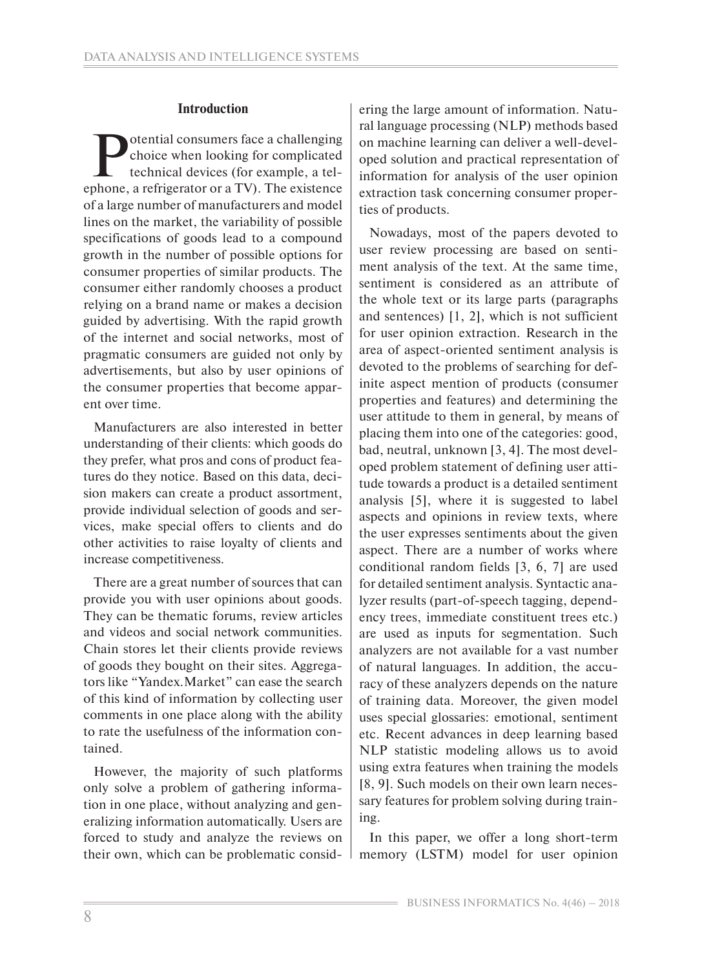# **Introduction**

**Potential consumers face a challenging<br>choice when looking for complicated<br>technical devices (for example, a tel-<br>phone a refrigerator or a TV). The existence** choice when looking for complicated technical devices (for example, a telephone, a refrigerator or a TV). The existence of a large number of manufacturers and model lines on the market, the variability of possible specifications of goods lead to a compound growth in the number of possible options for consumer properties of similar products. The consumer either randomly chooses a product relying on a brand name or makes a decision guided by advertising. With the rapid growth of the internet and social networks, most of pragmatic consumers are guided not only by advertisements, but also by user opinions of the consumer properties that become apparent over time.

Manufacturers are also interested in better understanding of their clients: which goods do they prefer, what pros and cons of product features do they notice. Based on this data, decision makers can create a product assortment, provide individual selection of goods and services, make special offers to clients and do other activities to raise loyalty of clients and increase competitiveness.

There are a great number of sources that can provide you with user opinions about goods. They can be thematic forums, review articles and videos and social network communities. Chain stores let their clients provide reviews of goods they bought on their sites. Aggregators like "Yandex.Market" can ease the search of this kind of information by collecting user comments in one place along with the ability to rate the usefulness of the information contained.

However, the majority of such platforms only solve a problem of gathering information in one place, without analyzing and generalizing information automatically. Users are forced to study and analyze the reviews on their own, which can be problematic considering the large amount of information. Natural language processing (NLP) methods based on machine learning can deliver a well-developed solution and practical representation of information for analysis of the user opinion extraction task concerning consumer properties of products.

Nowadays, most of the papers devoted to user review processing are based on sentiment analysis of the text. At the same time, sentiment is considered as an attribute of the whole text or its large parts (paragraphs and sentences) [1, 2], which is not sufficient for user opinion extraction. Research in the area of aspect-oriented sentiment analysis is devoted to the problems of searching for definite aspect mention of products (consumer properties and features) and determining the user attitude to them in general, by means of placing them into one of the categories: good, bad, neutral, unknown [3, 4]. The most developed problem statement of defining user attitude towards a product is a detailed sentiment analysis [5], where it is suggested to label aspects and opinions in review texts, where the user expresses sentiments about the given aspect. There are a number of works where conditional random fields [3, 6, 7] are used for detailed sentiment analysis. Syntactic analyzer results (part-of-speech tagging, dependency trees, immediate constituent trees etc.) are used as inputs for segmentation. Such analyzers are not available for a vast number of natural languages. In addition, the accuracy of these analyzers depends on the nature of training data. Moreover, the given model uses special glossaries: emotional, sentiment etc. Recent advances in deep learning based NLP statistic modeling allows us to avoid using extra features when training the models [8, 9]. Such models on their own learn necessary features for problem solving during training.

In this paper, we offer a long short-term memory (LSTM) model for user opinion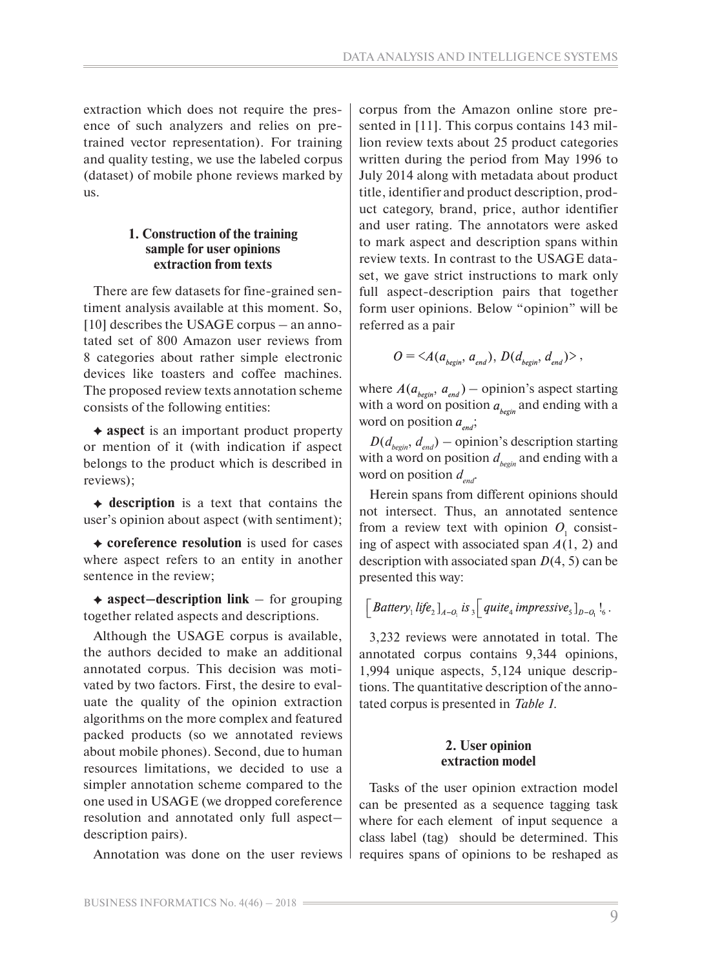extraction which does not require the presence of such analyzers and relies on pretrained vector representation). For training and quality testing, we use the labeled corpus (dataset) of mobile phone reviews marked by us.

## **1. Construction of the training sample for user opinions extraction from texts**

There are few datasets for fine-grained sentiment analysis available at this moment. So, [10] describes the USAGE corpus – an annotated set of 800 Amazon user reviews from 8 categories about rather simple electronic devices like toasters and coffee machines. The proposed review texts annotation scheme consists of the following entities:

 **aspect** is an important product property or mention of it (with indication if aspect belongs to the product which is described in reviews);

**description** is a text that contains the user's opinion about aspect (with sentiment);

**coreference resolution** is used for cases where aspect refers to an entity in another sentence in the review;

**aspect–description link** – for grouping together related aspects and descriptions.

Although the USAGE corpus is available, the authors decided to make an additional annotated corpus. This decision was motivated by two factors. First, the desire to evaluate the quality of the opinion extraction algorithms on the more complex and featured packed products (so we annotated reviews about mobile phones). Second, due to human resources limitations, we decided to use a simpler annotation scheme compared to the one used in USAGE (we dropped coreference resolution and annotated only full aspect– description pairs).

Annotation was done on the user reviews

corpus from the Amazon online store presented in [11]. This corpus contains 143 million review texts about 25 product categories written during the period from May 1996 to July 2014 along with metadata about product title, identifier and product description, product category, brand, price, author identifier and user rating. The annotators were asked to mark aspect and description spans within review texts. In contrast to the USAGE dataset, we gave strict instructions to mark only full aspect-description pairs that together form user opinions. Below "opinion" will be referred as a pair

$$
O = \langle A(a_{\text{begin}}; a_{\text{end}}), D(d_{\text{begin}}; d_{\text{end}}) \rangle,
$$

where  $A(a_{begin}, a_{end})$  – opinion's aspect starting with a word on position  $a_{\text{begin}}$  and ending with a word on position  $a_{end}$ ;

 $D(d_{begin}, d_{end})$  – opinion's description starting with a word on position  $d_{begin}$  and ending with a word on position  $d_{\text{net}}$ .

Herein spans from different opinions should not intersect. Thus, an annotated sentence from a review text with opinion  $O_1$  consisting of aspect with associated span *A*(1, 2) and description with associated span *D*(4, 5) can be presented this way:

$$
\Big[\textit{Battery}_1 \textit{life}_2\big]_{A-O_1} \textit{is}_3 \Big[\textit{quite}_4 \textit{impressive}_5\big]_{D-O_1} \big]_6.
$$

3,232 reviews were annotated in total. The annotated corpus contains 9,344 opinions, 1,994 unique aspects, 5,124 unique descriptions. The quantitative description of the annotated corpus is presented in *Table 1*.

# **2. User opinion extraction model**

Tasks of the user opinion extraction model can be presented as a sequence tagging task where for each element of input sequence a class label (tag) should be determined. This requires spans of opinions to be reshaped as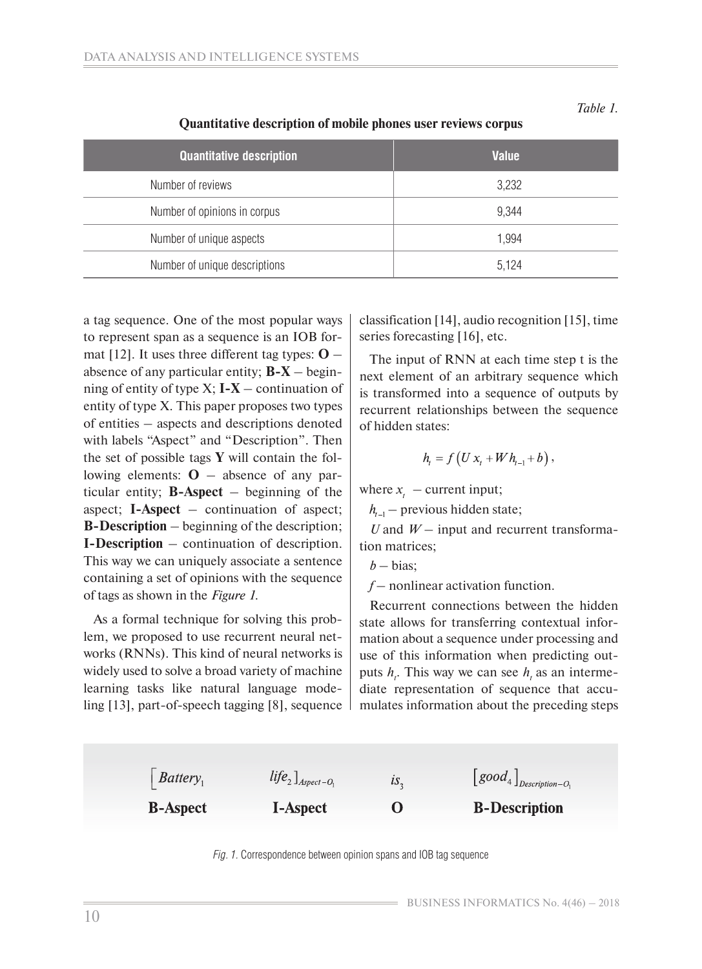| <b>Quantitative description</b> | <b>Value</b> |
|---------------------------------|--------------|
| Number of reviews               | 3,232        |
| Number of opinions in corpus    | 9,344        |
| Number of unique aspects        | 1,994        |
| Number of unique descriptions   | 5,124        |

# **Quantitative description of mobile phones user reviews corpus**

a tag sequence. One of the most popular ways to represent span as a sequence is an IOB format [12]. It uses three different tag types:  $\mathbf{O}$  – absence of any particular entity; **B-X** – beginning of entity of type  $X$ ;  $I - X$  – continuation of entity of type X. This paper proposes two types of entities – aspects and descriptions denoted with labels "Aspect" and "Description". Then the set of possible tags **Y** will contain the following elements:  $\mathbf{O}$  – absence of any particular entity; **B-Aspect** – beginning of the aspect; **I-Aspect** – continuation of aspect; **B-Description** – beginning of the description; **I-Description** – continuation of description. This way we can uniquely associate a sentence containing a set of opinions with the sequence of tags as shown in the *Figure 1*.

As a formal technique for solving this problem, we proposed to use recurrent neural networks (RNNs). This kind of neural networks is widely used to solve a broad variety of machine learning tasks like natural language modeling [13], part-of-speech tagging [8], sequence

classification [14], audio recognition [15], time series forecasting [16], etc.

*Table 1.* 

The input of RNN at each time step t is the next element of an arbitrary sequence which is transformed into a sequence of outputs by recurrent relationships between the sequence of hidden states:

$$
h_{t} = f(U x_{t} + W h_{t-1} + b),
$$

where  $x_t$  – current input;

 $h_{t-1}$  – previous hidden state;

*U* and *W* – input and recurrent transformation matrices;

 $b - bias;$ 

*f* – nonlinear activation function.

Recurrent connections between the hidden state allows for transferring contextual information about a sequence under processing and use of this information when predicting outputs  $h_t$ . This way we can see  $h_t$  as an intermediate representation of sequence that accumulates information about the preceding steps



*Fig. 1.* Correspondence between opinion spans and IOB tag sequence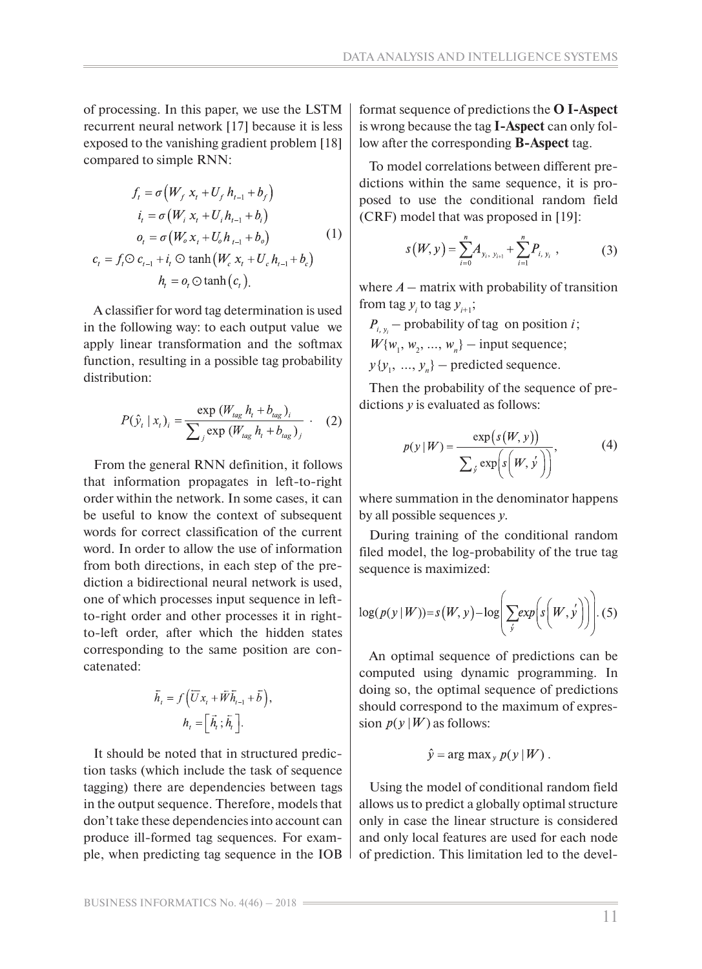of processing. In this paper, we use the LSTM recurrent neural network [17] because it is less exposed to the vanishing gradient problem [18] compared to simple RNN:

$$
f_{t} = \sigma \left(W_{f} x_{t} + U_{f} h_{t-1} + b_{f}\right)
$$
  
\n
$$
i_{t} = \sigma \left(W_{i} x_{t} + U_{i} h_{t-1} + b_{i}\right)
$$
  
\n
$$
o_{t} = \sigma \left(W_{o} x_{t} + U_{o} h_{t-1} + b_{o}\right)
$$
  
\n
$$
c_{t} = f_{t} \odot c_{t-1} + i_{t} \odot \tanh \left(W_{c} x_{t} + U_{c} h_{t-1} + b_{c}\right)
$$
  
\n
$$
h_{t} = o_{t} \odot \tanh \left(c_{t}\right).
$$
 (1)

A classifier for word tag determination is used in the following way: to each output value we apply linear transformation and the softmax function, resulting in a possible tag probability distribution:

$$
P(\hat{y}_t | x_t)_i = \frac{\exp (W_{tag} h_t + b_{tag})_i}{\sum_j \exp (W_{tag} h_t + b_{tag})_j}.
$$
 (2)

From the general RNN definition, it follows that information propagates in left-to-right order within the network. In some cases, it can be useful to know the context of subsequent words for correct classification of the current word. In order to allow the use of information from both directions, in each step of the prediction a bidirectional neural network is used, one of which processes input sequence in leftto-right order and other processes it in rightto-left order, after which the hidden states corresponding to the same position are concatenated:

$$
\overline{h}_i = f\left(\overline{U}x_i + \overline{W}\overline{h}_{i-1} + \overline{b}\right),
$$

$$
h_i = \left[\overline{h}_i; \overline{h}_i\right].
$$

It should be noted that in structured prediction tasks (which include the task of sequence tagging) there are dependencies between tags in the output sequence. Therefore, models that don't take these dependencies into account can produce ill-formed tag sequences. For example, when predicting tag sequence in the IOB

format sequence of predictions the **O I-Aspect** is wrong because the tag **I-Aspect** can only follow after the corresponding **B-Aspect** tag.

To model correlations between different predictions within the same sequence, it is proposed to use the conditional random field (CRF) model that was proposed in [19]:

$$
s(W, y) = \sum_{i=0}^{n} A_{y_i, y_{i+1}} + \sum_{i=1}^{n} P_{i, y_i}, \qquad (3)
$$

where  $A$  – matrix with probability of transition from tag  $y_i$  to tag  $y_{i+1}$ ;

 $P_{i,\nu}$  – probability of tag on position *i*;  $W{w_1, w_2, ..., w_n}$  – input sequence;  $y\{y_1, ..., y_n\}$  – predicted sequence.

Then the probability of the sequence of predictions *y* is evaluated as follows:

$$
p(y | W) = \frac{\exp(s(W, y))}{\sum_{j} \exp(s(W, y'))},
$$
 (4)

where summation in the denominator happens by all possible sequences *y*.

During training of the conditional random filed model, the log-probability of the true tag sequence is maximized:

$$
\log(p(y|W)) = s(W, y) - \log\left(\sum_{j} exp\left(s\left(W, y\right)\right)\right).
$$
 (5)

An optimal sequence of predictions can be computed using dynamic programming. In doing so, the optimal sequence of predictions should correspond to the maximum of expression  $p(y|W)$  as follows:

$$
\hat{y} = \arg \max_{y} p(y | W).
$$

Using the model of conditional random field allows us to predict a globally optimal structure only in case the linear structure is considered and only local features are used for each node of prediction. This limitation led to the devel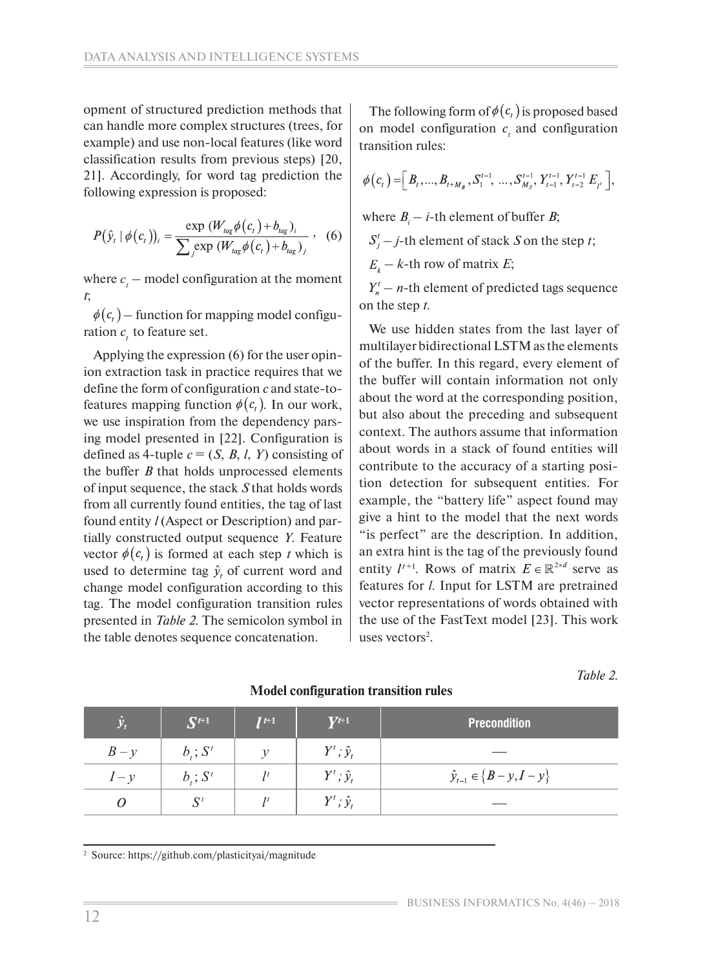opment of structured prediction methods that can handle more complex structures (trees, for example) and use non-local features (like word classification results from previous steps) [20, 21]. Accordingly, for word tag prediction the following expression is proposed:

$$
P(\hat{y}_t | \phi(c_t))_i = \frac{\exp(W_{tag} \phi(c_t) + b_{tag})_i}{\sum_j \exp(W_{tag} \phi(c_t) + b_{tag})_j}, \quad (6)
$$

where  $c_{t}$  – model configuration at the moment *t*;

 $\phi(c_i)$  – function for mapping model configuration  $c<sub>t</sub>$  to feature set.

Applying the expression (6) for the user opinion extraction task in practice requires that we define the form of configuration *c* and state-tofeatures mapping function  $\phi(c_i)$ . In our work, we use inspiration from the dependency parsing model presented in [22]. Configuration is defined as 4-tuple  $c = (S, B, l, Y)$  consisting of the buffer *B* that holds unprocessed elements of input sequence, the stack *S* that holds words from all currently found entities, the tag of last found entity *l* (Aspect or Description) and partially constructed output sequence *Y*. Feature vector  $\phi(c_i)$  is formed at each step *t* which is used to determine tag  $\hat{y}_t$  of current word and change model configuration according to this tag. The model configuration transition rules presented in *Table 2*. The semicolon symbol in the table denotes sequence concatenation.

The following form of  $\phi(c_i)$  is proposed based on model configuration  $c<sub>t</sub>$  and configuration transition rules:

$$
\phi(c_{t}) = \left[ B_{t},...,B_{t+M_{B}}, S_{1}^{t-1},...,S_{M_{S}}^{t-1}, Y_{t-1}^{t-1}, Y_{t-2}^{t-1} | E_{t}^{t-1} \right],
$$

where  $B_i - i$ -th element of buffer *B*;

 $S_i^t$  – *j*-th element of stack *S* on the step *t*;

 $E_{k}$  – *k*-th row of matrix *E*;

 $Y_n^{\prime}$  – *n*-th element of predicted tags sequence on the step *t*.

We use hidden states from the last layer of multilayer bidirectional LSTM as the elements of the buffer. In this regard, every element of the buffer will contain information not only about the word at the corresponding position, but also about the preceding and subsequent context. The authors assume that information about words in a stack of found entities will contribute to the accuracy of a starting position detection for subsequent entities. For example, the "battery life" aspect found may give a hint to the model that the next words "is perfect" are the description. In addition, an extra hint is the tag of the previously found entity  $l^{t+1}$ . Rows of matrix  $E \in \mathbb{R}^{2 \times d}$  serve as features for *l*. Input for LSTM are pretrained vector representations of words obtained with the use of the FastText model [23]. This work uses vectors $2$ .

*Table 2.*

| $\hat{\mathbf{y}}_t$ | $\mathbf{S}^{t+1}$ | $\mathbf{I}^{t+1}$ | $V^{t+1}$           | <b>Precondition</b>              |
|----------------------|--------------------|--------------------|---------------------|----------------------------------|
| $B - y$              | $b_i; S^t$         |                    | $Y^t$ ; $\hat{y}_t$ |                                  |
| $1-\nu$              | $b_i; S^t$         |                    | $Y^t$ ; $\hat{y}_t$ | $\hat{y}_{t-1} \in \{B-y, I-y\}$ |
|                      | $S^t$              |                    | $Y^t$ ; $\hat{y}_t$ |                                  |

**Model configuration transition rules**

2 Source: https://github.com/plasticityai/magnitude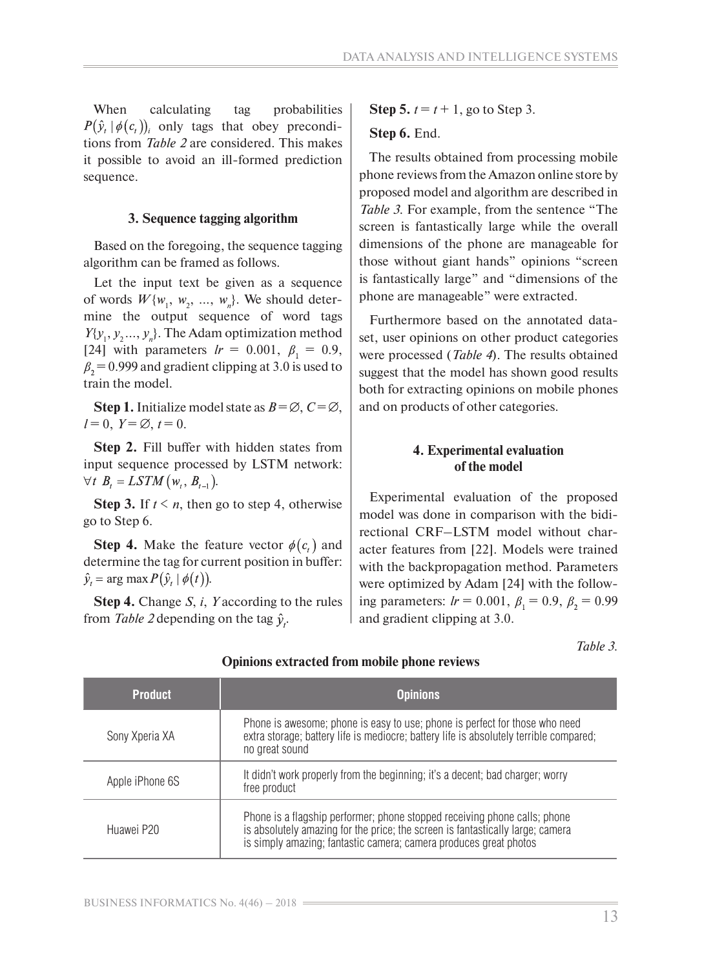When calculating tag probabilities  $P(\hat{y}_t | \phi(c_t))$  only tags that obey preconditions from *Table 2* are considered. This makes it possible to avoid an ill-formed prediction sequence.

#### **3. Sequence tagging algorithm**

Based on the foregoing, the sequence tagging algorithm can be framed as follows.

Let the input text be given as a sequence of words  $W{w_1, w_2, ..., w_n}$ . We should determine the output sequence of word tags  $Y\{y_1, y_2, \ldots, y_n\}$ . The Adam optimization method [24] with parameters  $lr = 0.001, \ \beta_1 = 0.9,$  $\beta_2$  = 0.999 and gradient clipping at 3.0 is used to train the model.

**Step 1.** Initialize model state as  $B = \emptyset$ ,  $C = \emptyset$ ,  $l = 0, Y = \emptyset, t = 0.$ 

**Step 2.** Fill buffer with hidden states from input sequence processed by LSTM network:  $\forall t \ B_t = LSTM(w_t, B_{t-1}).$ 

**Step 3.** If  $t \leq n$ , then go to step 4, otherwise go to Step 6.

**Step 4.** Make the feature vector  $\phi(c_i)$  and determine the tag for current position in buffer:  $\hat{y}_t = \arg \max P(\hat{y}_t | \phi(t)).$ 

**Step 4.** Change *S*, *i*, *Y* according to the rules from *Table 2* depending on the tag  $\hat{y}_t$ .

**Step 5.**  $t = t + 1$ , go to Step 3.

#### **Step 6.** End.

The results obtained from processing mobile phone reviews from the Amazon online store by proposed model and algorithm are described in *Table 3*. For example, from the sentence "The screen is fantastically large while the overall dimensions of the phone are manageable for those without giant hands" opinions "screen is fantastically large" and "dimensions of the phone are manageable" were extracted.

Furthermore based on the annotated dataset, user opinions on other product categories were processed (*Table 4*). The results obtained suggest that the model has shown good results both for extracting opinions on mobile phones and on products of other categories.

## **4. Experimental evaluation of the model**

Experimental evaluation of the proposed model was done in comparison with the bidirectional CRF–LSTM model without character features from [22]. Models were trained with the backpropagation method. Parameters were optimized by Adam [24] with the following parameters:  $lr = 0.001$ ,  $\beta_1 = 0.9$ ,  $\beta_2 = 0.99$ and gradient clipping at 3.0.

*Table 3.* 

## **Opinions extracted from mobile phone reviews**

| <b>Product</b>  | <b>Opinions</b>                                                                                                                                                                                                                  |
|-----------------|----------------------------------------------------------------------------------------------------------------------------------------------------------------------------------------------------------------------------------|
| Sony Xperia XA  | Phone is awesome; phone is easy to use; phone is perfect for those who need<br>extra storage; battery life is mediocre; battery life is absolutely terrible compared;<br>no great sound                                          |
| Apple iPhone 6S | It didn't work properly from the beginning; it's a decent; bad charger; worry<br>free product                                                                                                                                    |
| Huawei P20      | Phone is a flagship performer; phone stopped receiving phone calls; phone<br>is absolutely amazing for the price; the screen is fantastically large; camera<br>is simply amazing; fantastic camera; camera produces great photos |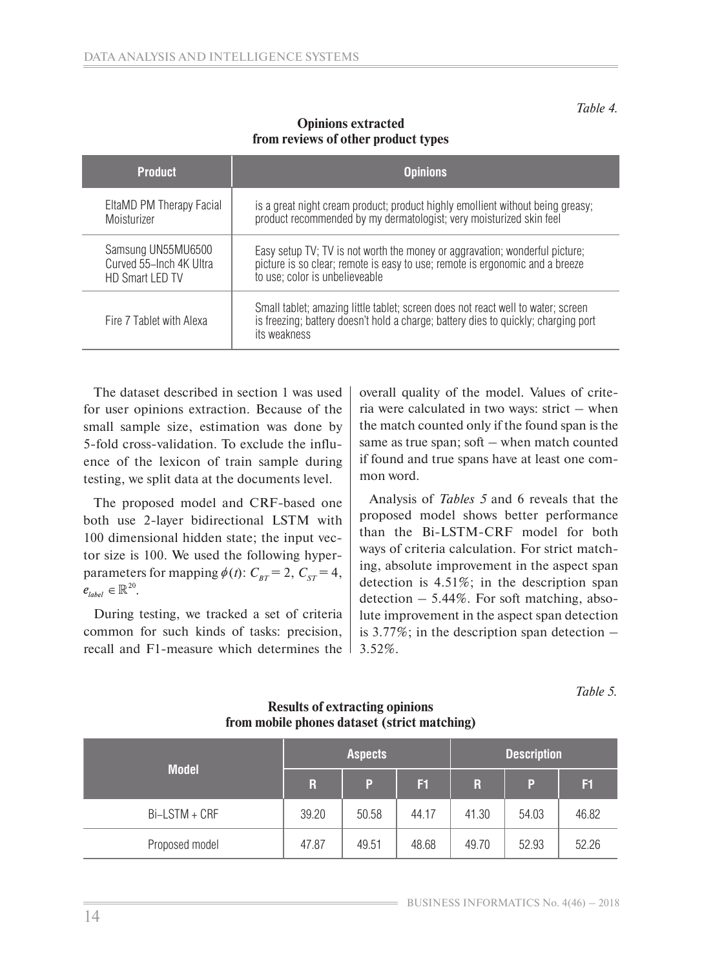**Product Opinions** EltaMD PM Therapy Facial **Moisturizer** is a great night cream product; product highly emollient without being greasy; product recommended by my dermatologist; very moisturized skin feel Samsung UN55MU6500 Curved 55-Inch 4K Ultra HD Smart LED TV Easy setup TV; TV is not worth the money or aggravation; wonderful picture; picture is so clear; remote is easy to use; remote is ergonomic and a breeze to use; color is unbelieveable Fire 7 Tablet with Alexa Small tablet; amazing little tablet; screen does not react well to water; screen is freezing; battery doesn't hold a charge; battery dies to quickly; charging port its weakness

# **Opinions extracted from reviews of other product types**

The dataset described in section 1 was used for user opinions extraction. Because of the small sample size, estimation was done by 5-fold cross-validation. To exclude the influence of the lexicon of train sample during testing, we split data at the documents level.

The proposed model and CRF-based one both use 2-layer bidirectional LSTM with 100 dimensional hidden state; the input vector size is 100. We used the following hyperparameters for mapping  $\phi(t)$ :  $C_{BT} = 2$ ,  $C_{ST} = 4$ ,  $e_{label} \in \mathbb{R}^{20}$ .

During testing, we tracked a set of criteria common for such kinds of tasks: precision, recall and F1-measure which determines the overall quality of the model. Values of criteria were calculated in two ways: strict – when the match counted only if the found span is the same as true span; soft – when match counted if found and true spans have at least one common word.

Analysis of *Tables 5* and 6 reveals that the proposed model shows better performance than the Bi-LSTM-CRF model for both ways of criteria calculation. For strict matching, absolute improvement in the aspect span detection is 4.51%; in the description span detection  $-5.44\%$ . For soft matching, absolute improvement in the aspect span detection is 3.77%; in the description span detection – 3.52%.

*Table 5.*

|                | <b>Aspects</b> |       |       | <b>Description</b> |       |       |  |
|----------------|----------------|-------|-------|--------------------|-------|-------|--|
| <b>Model</b>   | $\mathbf R$    | P     | F1    | R.                 | P     | F1    |  |
| Bi-LSTM + CRF  | 39.20          | 50.58 | 44.17 | 41.30              | 54.03 | 46.82 |  |
| Proposed model | 47.87          | 49.51 | 48.68 | 49.70              | 52.93 | 52.26 |  |

## **Results of extracting opinions from mobile phones dataset (strict matching)**

*Table 4.*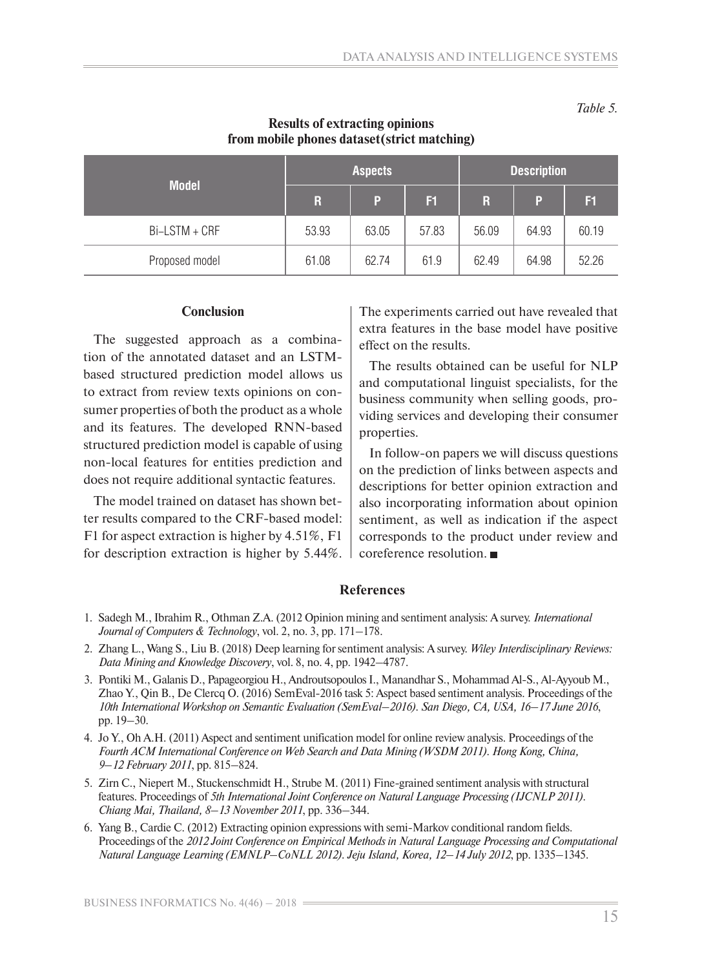*Table 5.*

|                | <b>Aspects</b> |       |       | <b>Description</b> |       |       |
|----------------|----------------|-------|-------|--------------------|-------|-------|
| <b>Model</b>   | $\mathbf R$    | P     | F1    | $\mathsf{R}$       | P     | F1    |
| Bi-LSTM + CRF  | 53.93          | 63.05 | 57.83 | 56.09              | 64.93 | 60.19 |
| Proposed model | 61.08          | 62.74 | 61.9  | 62.49              | 64.98 | 52.26 |

# **Results of extracting opinions from mobile phones dataset(strict matching)**

## **Conclusion**

The suggested approach as a combination of the annotated dataset and an LSTMbased structured prediction model allows us to extract from review texts opinions on consumer properties of both the product as a whole and its features. The developed RNN-based structured prediction model is capable of using non-local features for entities prediction and does not require additional syntactic features.

The model trained on dataset has shown better results compared to the CRF-based model: F1 for aspect extraction is higher by 4.51%, F1 for description extraction is higher by 5.44%. The experiments carried out have revealed that extra features in the base model have positive effect on the results.

The results obtained can be useful for NLP and computational linguist specialists, for the business community when selling goods, providing services and developing their consumer properties.

In follow-on papers we will discuss questions on the prediction of links between aspects and descriptions for better opinion extraction and also incorporating information about opinion sentiment, as well as indication if the aspect corresponds to the product under review and coreference resolution.

#### **References**

- 1. Sadegh M., Ibrahim R., Othman Z.A. (2012 Opinion mining and sentiment analysis: A survey. *International Journal of Computers & Technology*, vol. 2, no. 3, pp. 171–178.
- 2. Zhang L., Wang S., Liu B. (2018) Deep learning for sentiment analysis: A survey. *Wiley Interdisciplinary Reviews: Data Mining and Knowledge Discovery*, vol. 8, no. 4, pp. 1942–4787.
- 3. Pontiki M., Galanis D., Papageorgiou H., Androutsopoulos I., Manandhar S., Mohammad Al-S., Al-Ayyoub M., Zhao Y., Qin B., De Clercq O. (2016) SemEval-2016 task 5: Aspect based sentiment analysis. Proceedings of the *10th International Workshop on Semantic Evaluation (SemEval–2016). San Diego, CA, USA, 16–17 June 2016*, pp. 19–30.
- 4. Jo Y., Oh A.H. (2011) Aspect and sentiment unification model for online review analysis. Proceedings of the *Fourth ACM International Conference on Web Search and Data Mining (WSDM 2011). Hong Kong, China, 9–12 February 2011*, pp. 815–824.
- 5. Zirn C., Niepert M., Stuckenschmidt H., Strube M. (2011) Fine-grained sentiment analysis with structural features. Proceedings of *5th International Joint Conference on Natural Language Processing (IJCNLP 2011). Chiang Mai, Thailand, 8–13 November 2011*, pp. 336–344.
- 6. Yang B., Cardie C. (2012) Extracting opinion expressions with semi-Markov conditional random fields. Proceedings of the *2012 Joint Conference on Empirical Methods in Natural Language Processing and Computational Natural Language Learning (EMNLP–CoNLL 2012). Jeju Island, Korea, 12–14 July 2012*, pp. 1335–1345.